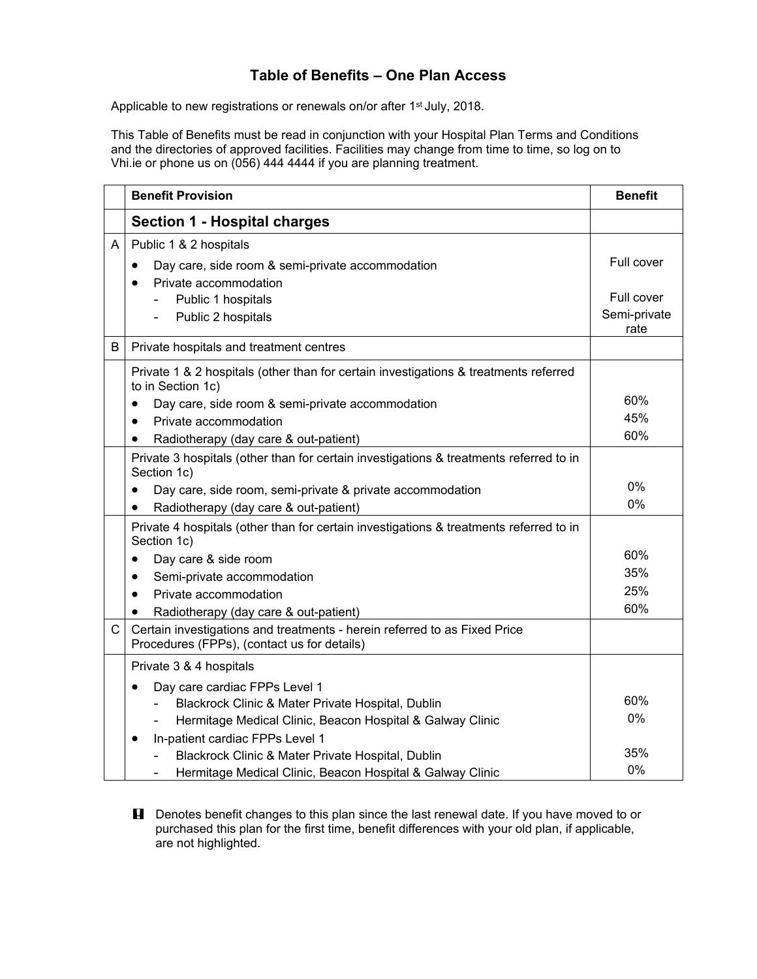## **Table of Benefits – One Plan Access**

Applicable to new registrations or renewals on/or after 1<sup>st</sup> July, 2018.

This Table of Benefits must be read in conjunction with your Hospital Plan Terms and Conditions and the directories of approved facilities. Facilities may change from time to time, so log on to Vhi.ie or phone us on (056) 444 4444 if you are planning treatment.

|              | <b>Benefit Provision</b>                                                                                                 | <b>Benefit</b>                     |
|--------------|--------------------------------------------------------------------------------------------------------------------------|------------------------------------|
|              | <b>Section 1 - Hospital charges</b>                                                                                      |                                    |
| A            | Public 1 & 2 hospitals<br>Day care, side room & semi-private accommodation<br>٠<br>Private accommodation<br>$\bullet$    | Full cover                         |
|              | Public 1 hospitals<br>Public 2 hospitals                                                                                 | Full cover<br>Semi-private<br>rate |
| B            | Private hospitals and treatment centres                                                                                  |                                    |
|              | Private 1 & 2 hospitals (other than for certain investigations & treatments referred<br>to in Section 1c)                |                                    |
|              | Day care, side room & semi-private accommodation<br>$\bullet$                                                            | 60%                                |
|              | Private accommodation<br>$\bullet$                                                                                       | 45%<br>60%                         |
|              | Radiotherapy (day care & out-patient)<br>$\bullet$                                                                       |                                    |
|              | Private 3 hospitals (other than for certain investigations & treatments referred to in<br>Section 1c)                    |                                    |
|              | Day care, side room, semi-private & private accommodation<br>٠                                                           | $0\%$                              |
|              | Radiotherapy (day care & out-patient)<br>$\bullet$                                                                       | $0\%$                              |
|              | Private 4 hospitals (other than for certain investigations & treatments referred to in<br>Section 1c)                    |                                    |
|              | Day care & side room<br>$\bullet$                                                                                        | 60%                                |
|              | Semi-private accommodation                                                                                               | 35%                                |
|              | Private accommodation<br>$\bullet$                                                                                       | 25%                                |
|              | Radiotherapy (day care & out-patient)<br>$\bullet$                                                                       | 60%                                |
| $\mathsf{C}$ | Certain investigations and treatments - herein referred to as Fixed Price<br>Procedures (FPPs), (contact us for details) |                                    |
|              | Private 3 & 4 hospitals                                                                                                  |                                    |
|              | Day care cardiac FPPs Level 1                                                                                            |                                    |
|              | Blackrock Clinic & Mater Private Hospital, Dublin                                                                        | 60%                                |
|              | Hermitage Medical Clinic, Beacon Hospital & Galway Clinic                                                                | $0\%$                              |
|              | In-patient cardiac FPPs Level 1<br>$\bullet$                                                                             |                                    |
|              | Blackrock Clinic & Mater Private Hospital, Dublin                                                                        | 35%                                |
|              | Hermitage Medical Clinic, Beacon Hospital & Galway Clinic                                                                | $0\%$                              |

**H** Denotes benefit changes to this plan since the last renewal date. If you have moved to or purchased this plan for the first time, benefit differences with your old plan, if applicable, are not highlighted.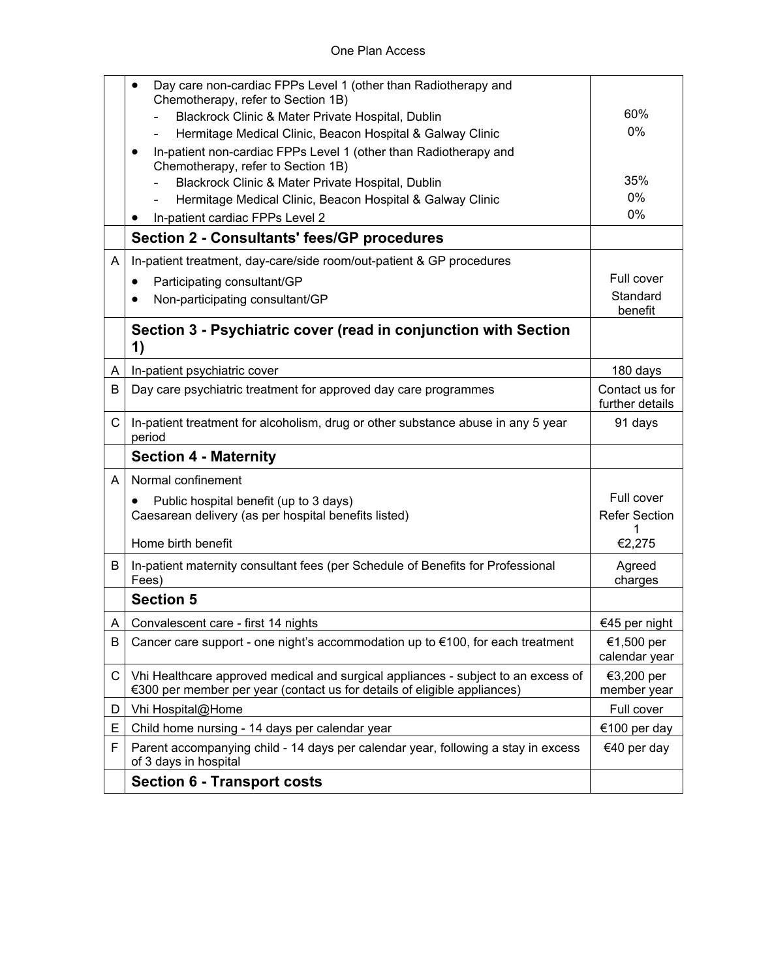|              | Day care non-cardiac FPPs Level 1 (other than Radiotherapy and<br>$\bullet$                                                                                   |                                   |
|--------------|---------------------------------------------------------------------------------------------------------------------------------------------------------------|-----------------------------------|
|              | Chemotherapy, refer to Section 1B)<br>Blackrock Clinic & Mater Private Hospital, Dublin                                                                       | 60%                               |
|              | Hermitage Medical Clinic, Beacon Hospital & Galway Clinic                                                                                                     | $0\%$                             |
|              | In-patient non-cardiac FPPs Level 1 (other than Radiotherapy and<br>٠                                                                                         |                                   |
|              | Chemotherapy, refer to Section 1B)                                                                                                                            |                                   |
|              | Blackrock Clinic & Mater Private Hospital, Dublin                                                                                                             | 35%                               |
|              | Hermitage Medical Clinic, Beacon Hospital & Galway Clinic                                                                                                     | 0%                                |
|              | In-patient cardiac FPPs Level 2                                                                                                                               | 0%                                |
|              | <b>Section 2 - Consultants' fees/GP procedures</b>                                                                                                            |                                   |
| A            | In-patient treatment, day-care/side room/out-patient & GP procedures                                                                                          |                                   |
|              | Participating consultant/GP<br>٠                                                                                                                              | Full cover                        |
|              | Non-participating consultant/GP                                                                                                                               | Standard<br>benefit               |
|              | Section 3 - Psychiatric cover (read in conjunction with Section                                                                                               |                                   |
|              | 1)                                                                                                                                                            |                                   |
| A            | In-patient psychiatric cover                                                                                                                                  | 180 days                          |
| B            | Day care psychiatric treatment for approved day care programmes                                                                                               | Contact us for<br>further details |
| $\mathsf{C}$ | In-patient treatment for alcoholism, drug or other substance abuse in any 5 year<br>period                                                                    | 91 days                           |
|              | <b>Section 4 - Maternity</b>                                                                                                                                  |                                   |
| A            | Normal confinement                                                                                                                                            |                                   |
|              | Public hospital benefit (up to 3 days)<br>$\bullet$                                                                                                           | Full cover                        |
|              | Caesarean delivery (as per hospital benefits listed)                                                                                                          | <b>Refer Section</b>              |
|              | Home birth benefit                                                                                                                                            | €2,275                            |
| B            | In-patient maternity consultant fees (per Schedule of Benefits for Professional                                                                               | Agreed                            |
|              | Fees)                                                                                                                                                         | charges                           |
|              | <b>Section 5</b>                                                                                                                                              |                                   |
| ΑI           | Convalescent care - first 14 nights                                                                                                                           | €45 per night                     |
| B            | Cancer care support - one night's accommodation up to €100, for each treatment                                                                                | €1,500 per<br>calendar year       |
| С            | Vhi Healthcare approved medical and surgical appliances - subject to an excess of<br>€300 per member per year (contact us for details of eligible appliances) | €3,200 per<br>member year         |
| D            | Vhi Hospital@Home                                                                                                                                             | Full cover                        |
| Ε            | Child home nursing - 14 days per calendar year                                                                                                                | €100 per day                      |
| F            | Parent accompanying child - 14 days per calendar year, following a stay in excess<br>of 3 days in hospital                                                    | €40 per day                       |
|              | <b>Section 6 - Transport costs</b>                                                                                                                            |                                   |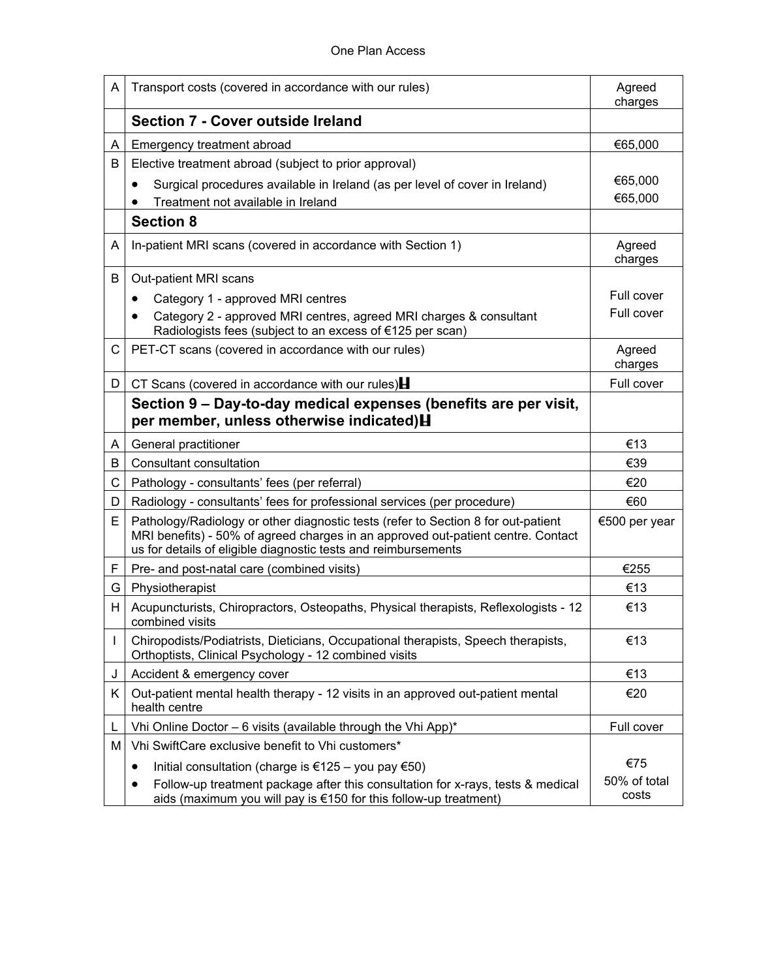| A  | Transport costs (covered in accordance with our rules)                                                                                                                                                                                  | Agreed<br>charges     |
|----|-----------------------------------------------------------------------------------------------------------------------------------------------------------------------------------------------------------------------------------------|-----------------------|
|    | Section 7 - Cover outside Ireland                                                                                                                                                                                                       |                       |
| A  | Emergency treatment abroad                                                                                                                                                                                                              | €65,000               |
| В  | Elective treatment abroad (subject to prior approval)                                                                                                                                                                                   |                       |
|    | Surgical procedures available in Ireland (as per level of cover in Ireland)<br>$\bullet$                                                                                                                                                | €65,000               |
|    | Treatment not available in Ireland                                                                                                                                                                                                      | €65,000               |
|    | <b>Section 8</b>                                                                                                                                                                                                                        |                       |
| A  | In-patient MRI scans (covered in accordance with Section 1)                                                                                                                                                                             | Agreed<br>charges     |
| B  | Out-patient MRI scans                                                                                                                                                                                                                   |                       |
|    | Category 1 - approved MRI centres                                                                                                                                                                                                       | Full cover            |
|    | Category 2 - approved MRI centres, agreed MRI charges & consultant<br>٠<br>Radiologists fees (subject to an excess of €125 per scan)                                                                                                    | Full cover            |
| C. | PET-CT scans (covered in accordance with our rules)                                                                                                                                                                                     | Agreed<br>charges     |
| D  | CT Scans (covered in accordance with our rules) $\blacksquare$                                                                                                                                                                          | Full cover            |
|    | Section 9 – Day-to-day medical expenses (benefits are per visit,<br>per member, unless otherwise indicated) H                                                                                                                           |                       |
| A  | General practitioner                                                                                                                                                                                                                    | €13                   |
| В  | Consultant consultation                                                                                                                                                                                                                 | €39                   |
| C  | Pathology - consultants' fees (per referral)                                                                                                                                                                                            | €20                   |
| D  | Radiology - consultants' fees for professional services (per procedure)                                                                                                                                                                 | €60                   |
| E. | Pathology/Radiology or other diagnostic tests (refer to Section 8 for out-patient<br>MRI benefits) - 50% of agreed charges in an approved out-patient centre. Contact<br>us for details of eligible diagnostic tests and reimbursements | €500 per year         |
| F. | Pre- and post-natal care (combined visits)                                                                                                                                                                                              | €255                  |
| G  | Physiotherapist                                                                                                                                                                                                                         | €13                   |
| H. | Acupuncturists, Chiropractors, Osteopaths, Physical therapists, Reflexologists - 12<br>combined visits                                                                                                                                  | €13                   |
|    | Chiropodists/Podiatrists, Dieticians, Occupational therapists, Speech therapists,<br>Orthoptists, Clinical Psychology - 12 combined visits                                                                                              | €13                   |
| J  | Accident & emergency cover                                                                                                                                                                                                              | €13                   |
| K. | Out-patient mental health therapy - 12 visits in an approved out-patient mental<br>health centre                                                                                                                                        | €20                   |
| L  | Vhi Online Doctor - 6 visits (available through the Vhi App)*                                                                                                                                                                           | Full cover            |
| м  | Vhi SwiftCare exclusive benefit to Vhi customers*                                                                                                                                                                                       |                       |
|    | Initial consultation (charge is €125 – you pay €50)<br>٠                                                                                                                                                                                | €75                   |
|    | Follow-up treatment package after this consultation for x-rays, tests & medical<br>$\bullet$<br>aids (maximum you will pay is €150 for this follow-up treatment)                                                                        | 50% of total<br>costs |